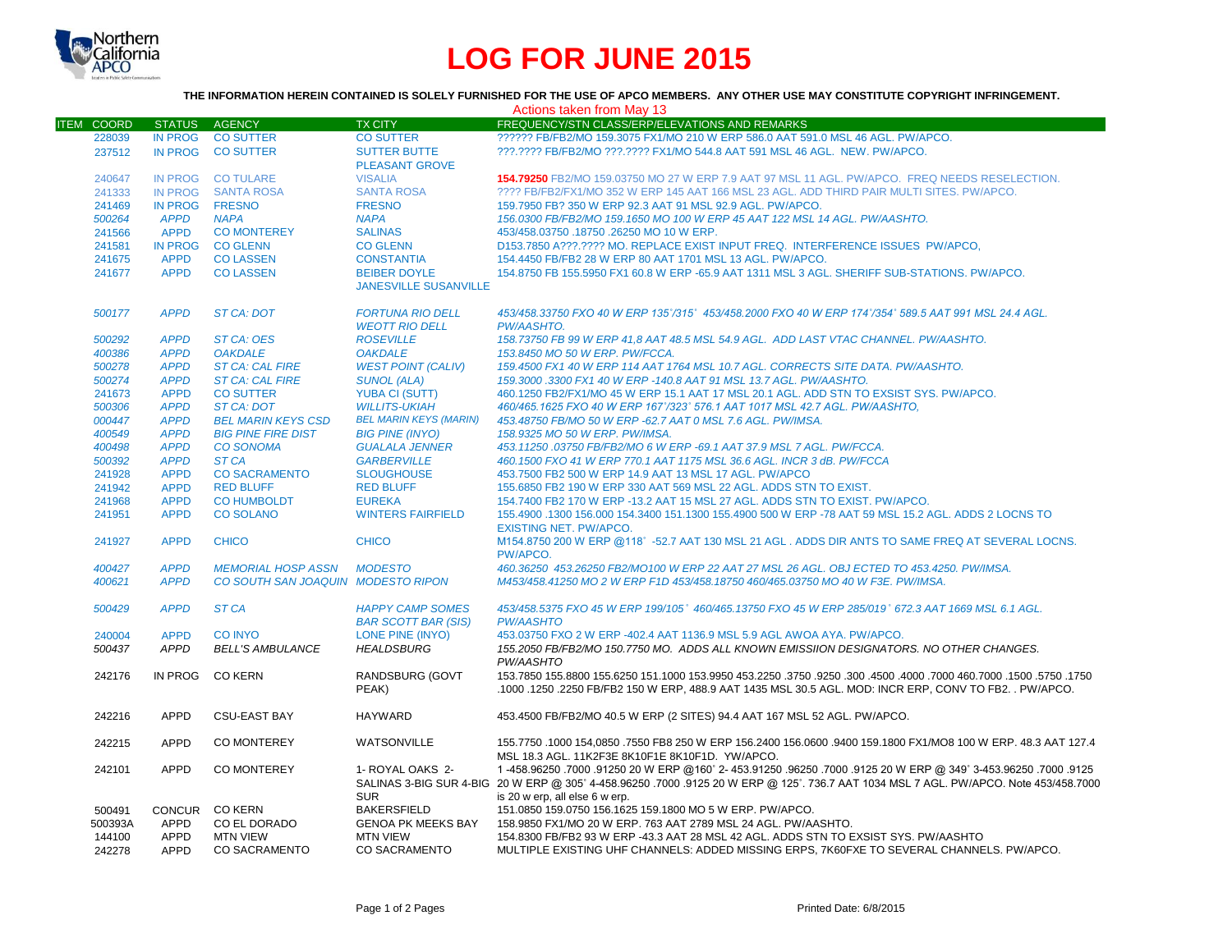

# **LOG FOR JUNE 2015**

## **THE INFORMATION HEREIN CONTAINED IS SOLELY FURNISHED FOR THE USE OF APCO MEMBERS. ANY OTHER USE MAY CONSTITUTE COPYRIGHT INFRINGEMENT.**

| Actions taken from May 13 |                            |                                         |                                                       |                                                                                                                                                                                                                                                      |  |  |  |
|---------------------------|----------------------------|-----------------------------------------|-------------------------------------------------------|------------------------------------------------------------------------------------------------------------------------------------------------------------------------------------------------------------------------------------------------------|--|--|--|
| <b>ITEM COORD</b>         | <b>STATUS</b>              | <b>AGENCY</b>                           | <b>TX CITY</b>                                        | FREQUENCY/STN CLASS/ERP/ELEVATIONS AND REMARKS                                                                                                                                                                                                       |  |  |  |
| 228039                    | <b>IN PROG</b>             | <b>CO SUTTER</b>                        | <b>CO SUTTER</b>                                      | ?????? FB/FB2/MO 159.3075 FX1/MO 210 W ERP 586.0 AAT 591.0 MSL 46 AGL, PW/APCO.                                                                                                                                                                      |  |  |  |
| 237512                    | <b>IN PROG</b>             | <b>CO SUTTER</b>                        | <b>SUTTER BUTTE</b><br><b>PLEASANT GROVE</b>          | ???.???? FB/FB2/MO ???.???? FX1/MO 544.8 AAT 591 MSL 46 AGL. NEW. PW/APCO.                                                                                                                                                                           |  |  |  |
| 240647                    |                            | IN PROG CO TULARE                       | <b>VISALIA</b>                                        | 154.79250 FB2/MO 159.03750 MO 27 W ERP 7.9 AAT 97 MSL 11 AGL, PW/APCO. FREQ NEEDS RESELECTION.                                                                                                                                                       |  |  |  |
| 241333                    | <b>IN PROG</b>             | <b>SANTA ROSA</b>                       | <b>SANTA ROSA</b>                                     | ???? FB/FB2/FX1/MO 352 W ERP 145 AAT 166 MSL 23 AGL. ADD THIRD PAIR MULTI SITES. PW/APCO.                                                                                                                                                            |  |  |  |
| 241469                    | <b>IN PROG</b>             | <b>FRESNO</b>                           | <b>FRESNO</b>                                         | 159.7950 FB? 350 W ERP 92.3 AAT 91 MSL 92.9 AGL. PW/APCO.                                                                                                                                                                                            |  |  |  |
| 500264                    | <b>APPD</b>                | <b>NAPA</b>                             | <b>NAPA</b>                                           | 156.0300 FB/FB2/MO 159.1650 MO 100 W ERP 45 AAT 122 MSL 14 AGL. PW/AASHTO.                                                                                                                                                                           |  |  |  |
| 241566                    | <b>APPD</b>                | <b>CO MONTEREY</b>                      | <b>SALINAS</b>                                        | 453/458.03750 .18750 .26250 MO 10 W ERP.                                                                                                                                                                                                             |  |  |  |
| 241581                    | <b>IN PROG</b>             | <b>CO GLENN</b>                         | <b>CO GLENN</b>                                       | D153.7850 A???.???? MO. REPLACE EXIST INPUT FREQ. INTERFERENCE ISSUES PW/APCO,                                                                                                                                                                       |  |  |  |
| 241675                    | <b>APPD</b>                | <b>CO LASSEN</b>                        | <b>CONSTANTIA</b>                                     | 154.4450 FB/FB2 28 W ERP 80 AAT 1701 MSL 13 AGL. PW/APCO.                                                                                                                                                                                            |  |  |  |
| 241677                    | <b>APPD</b>                | <b>CO LASSEN</b>                        | <b>BEIBER DOYLE</b><br><b>JANESVILLE SUSANVILLE</b>   | 154.8750 FB 155.5950 FX1 60.8 W ERP -65.9 AAT 1311 MSL 3 AGL. SHERIFF SUB-STATIONS. PW/APCO.                                                                                                                                                         |  |  |  |
| 500177                    | <b>APPD</b>                | <b>ST CA: DOT</b>                       | <b>FORTUNA RIO DELL</b><br><b>WEOTT RIO DELL</b>      | 453/458.33750 FXO 40 W ERP 135°/315° 453/458.2000 FXO 40 W ERP 174°/354° 589.5 AAT 991 MSL 24.4 AGL.<br>PW/AASHTO.                                                                                                                                   |  |  |  |
| 500292                    | <b>APPD</b>                | ST CA: OES                              | <b>ROSEVILLE</b>                                      | 158.73750 FB 99 W ERP 41,8 AAT 48.5 MSL 54.9 AGL. ADD LAST VTAC CHANNEL. PW/AASHTO.                                                                                                                                                                  |  |  |  |
| 400386                    | <b>APPD</b>                | <b>OAKDALE</b>                          | <b>OAKDALE</b>                                        | 153.8450 MO 50 W ERP. PW/FCCA.                                                                                                                                                                                                                       |  |  |  |
| 500278                    | <b>APPD</b>                | <b>ST CA: CAL FIRE</b>                  | <b>WEST POINT (CALIV)</b>                             | 159.4500 FX1 40 W ERP 114 AAT 1764 MSL 10.7 AGL. CORRECTS SITE DATA. PW/AASHTO.                                                                                                                                                                      |  |  |  |
| 500274                    | <b>APPD</b>                | <b>ST CA: CAL FIRE</b>                  | <b>SUNOL (ALA)</b>                                    | 159.3000.3300 FX1 40 W ERP -140.8 AAT 91 MSL 13.7 AGL. PW/AASHTO.                                                                                                                                                                                    |  |  |  |
| 241673                    | <b>APPD</b>                | <b>CO SUTTER</b>                        | <b>YUBA CI (SUTT)</b>                                 | 460.1250 FB2/FX1/MO 45 W ERP 15.1 AAT 17 MSL 20.1 AGL. ADD STN TO EXSIST SYS. PW/APCO.                                                                                                                                                               |  |  |  |
| 500306                    | <b>APPD</b>                | <b>ST CA: DOT</b>                       | <b>WILLITS-UKIAH</b>                                  | 460/465.1625 FXO 40 W ERP 167°/323° 576.1 AAT 1017 MSL 42.7 AGL. PW/AASHTO,                                                                                                                                                                          |  |  |  |
| 000447                    | <b>APPD</b>                | <b>BEL MARIN KEYS CSD</b>               | <b>BEL MARIN KEYS (MARIN)</b>                         | 453.48750 FB/MO 50 W ERP -62.7 AAT 0 MSL 7.6 AGL. PW/IMSA.                                                                                                                                                                                           |  |  |  |
| 400549                    | <b>APPD</b>                | <b>BIG PINE FIRE DIST</b>               | <b>BIG PINE (INYO)</b>                                | 158.9325 MO 50 W ERP. PW/IMSA.                                                                                                                                                                                                                       |  |  |  |
| 400498                    | <b>APPD</b>                | <b>CO SONOMA</b>                        | <b>GUALALA JENNER</b>                                 | 453.11250.03750 FB/FB2/MO 6 W ERP -69.1 AAT 37.9 MSL 7 AGL. PW/FCCA.                                                                                                                                                                                 |  |  |  |
| 500392                    | <b>APPD</b>                | ST <sub>CA</sub>                        | <b>GARBERVILLE</b>                                    | 460.1500 FXO 41 W ERP 770.1 AAT 1175 MSL 36.6 AGL. INCR 3 dB. PW/FCCA                                                                                                                                                                                |  |  |  |
| 241928                    | <b>APPD</b>                | <b>CO SACRAMENTO</b>                    | <b>SLOUGHOUSE</b>                                     | 453.7500 FB2 500 W ERP 14.9 AAT 13 MSL 17 AGL. PW/APCO                                                                                                                                                                                               |  |  |  |
| 241942                    | <b>APPD</b>                | <b>RED BLUFF</b>                        | <b>RED BLUFF</b>                                      | 155,6850 FB2 190 W ERP 330 AAT 569 MSL 22 AGL. ADDS STN TO EXIST.                                                                                                                                                                                    |  |  |  |
| 241968                    | <b>APPD</b>                | <b>CO HUMBOLDT</b>                      | <b>EUREKA</b>                                         | 154.7400 FB2 170 W ERP -13.2 AAT 15 MSL 27 AGL. ADDS STN TO EXIST. PW/APCO.                                                                                                                                                                          |  |  |  |
| 241951                    | <b>APPD</b>                | <b>CO SOLANO</b>                        | <b>WINTERS FAIRFIELD</b>                              | 155.4900 .1300 156.000 154.3400 151.1300 155.4900 500 W ERP -78 AAT 59 MSL 15.2 AGL. ADDS 2 LOCNS TO<br><b>EXISTING NET. PW/APCO.</b>                                                                                                                |  |  |  |
| 241927                    | <b>APPD</b>                | <b>CHICO</b>                            | <b>CHICO</b>                                          | M154.8750 200 W ERP @118°-52.7 AAT 130 MSL 21 AGL, ADDS DIR ANTS TO SAME FREQ AT SEVERAL LOCNS.<br>PW/APCO.                                                                                                                                          |  |  |  |
| 400427                    | <b>APPD</b>                | <b>MEMORIAL HOSP ASSN</b>               | <b>MODESTO</b>                                        | 460.36250 453.26250 FB2/MO100 W ERP 22 AAT 27 MSL 26 AGL. OBJ ECTED TO 453.4250. PW/IMSA.                                                                                                                                                            |  |  |  |
| 400621                    | <b>APPD</b>                | CO SOUTH SAN JOAQUIN MODESTO RIPON      |                                                       | M453/458.41250 MO 2 W ERP F1D 453/458.18750 460/465.03750 MO 40 W F3E. PW/IMSA.                                                                                                                                                                      |  |  |  |
| 500429                    | <b>APPD</b>                | ST <sub>CA</sub>                        | <b>HAPPY CAMP SOMES</b><br><b>BAR SCOTT BAR (SIS)</b> | 453/458.5375 FXO 45 W ERP 199/105° 460/465.13750 FXO 45 W ERP 285/019° 672.3 AAT 1669 MSL 6.1 AGL.<br><b>PW/AASHTO</b>                                                                                                                               |  |  |  |
| 240004                    | <b>APPD</b>                | <b>CO INYO</b>                          | LONE PINE (INYO)                                      | 453.03750 FXO 2 W ERP -402.4 AAT 1136.9 MSL 5.9 AGL AWOA AYA. PW/APCO.                                                                                                                                                                               |  |  |  |
| 500437                    | <b>APPD</b>                | <b>BELL'S AMBULANCE</b>                 | <b>HEALDSBURG</b>                                     | 155.2050 FB/FB2/MO 150.7750 MO. ADDS ALL KNOWN EMISSIION DESIGNATORS. NO OTHER CHANGES.<br>PW/AASHTO                                                                                                                                                 |  |  |  |
| 242176                    | IN PROG                    | <b>CO KERN</b>                          | RANDSBURG (GOVT<br>PEAK)                              | 1750, 1750. 1600, 1700 160.7000 1000 1000 160.000 153.9950 1750. 1750 183.2250 163.2250 1640.7000 155.8800 155<br>.1000 .1250 .2250 FB/FB2 150 W ERP, 488.9 AAT 1435 MSL 30.5 AGL. MOD: INCR ERP, CONV TO FB2. . PW/APCO.                            |  |  |  |
| 242216                    | <b>APPD</b>                | <b>CSU-EAST BAY</b>                     | <b>HAYWARD</b>                                        | 453.4500 FB/FB2/MO 40.5 W ERP (2 SITES) 94.4 AAT 167 MSL 52 AGL. PW/APCO.                                                                                                                                                                            |  |  |  |
| 242215                    | <b>APPD</b>                | <b>CO MONTEREY</b>                      | WATSONVILLE                                           | 155,7750 .1000 154,0850 .7550 FB8 250 W ERP 156,2400 156,0600 .9400 159,1800 FX1/MO8 100 W ERP, 48.3 AAT 127.4<br>MSL 18.3 AGL. 11K2F3E 8K10F1E 8K10F1D. YW/APCO.                                                                                    |  |  |  |
| 242101                    | <b>APPD</b>                | <b>CO MONTEREY</b>                      | 1- ROYAL OAKS 2-                                      | 125 1000. 9125 3-453.96250 349° 3-453.96250 96250. 96250 96250 96250. 96250 PM ERP @ 349° 3-453.96250 17000<br>SALINAS 3-BIG SUR 4-BIG 20 W ERP @ 305° 4-458.96250 .7000 .9125 20 W ERP @ 125°. 736.7 AAT 1034 MSL 7 AGL. PW/APCO. Note 453/458.7000 |  |  |  |
|                           |                            |                                         | <b>SUR</b>                                            | is 20 w erp, all else 6 w erp.                                                                                                                                                                                                                       |  |  |  |
| 500491                    |                            | CONCUR CO KERN                          | <b>BAKERSFIELD</b>                                    | 151.0850 159.0750 156.1625 159.1800 MO 5 W ERP. PW/APCO.                                                                                                                                                                                             |  |  |  |
| 500393A                   | APPD                       | CO EL DORADO                            | <b>GENOA PK MEEKS BAY</b>                             | 158.9850 FX1/MO 20 W ERP. 763 AAT 2789 MSL 24 AGL. PW/AASHTO.                                                                                                                                                                                        |  |  |  |
| 144100<br>242278          | <b>APPD</b><br><b>APPD</b> | <b>MTN VIEW</b><br><b>CO SACRAMENTO</b> | <b>MTN VIEW</b><br><b>CO SACRAMENTO</b>               | 154.8300 FB/FB2 93 W ERP -43.3 AAT 28 MSL 42 AGL. ADDS STN TO EXSIST SYS. PW/AASHTO<br>MULTIPLE EXISTING UHF CHANNELS: ADDED MISSING ERPS, 7K60FXE TO SEVERAL CHANNELS, PW/APCO.                                                                     |  |  |  |